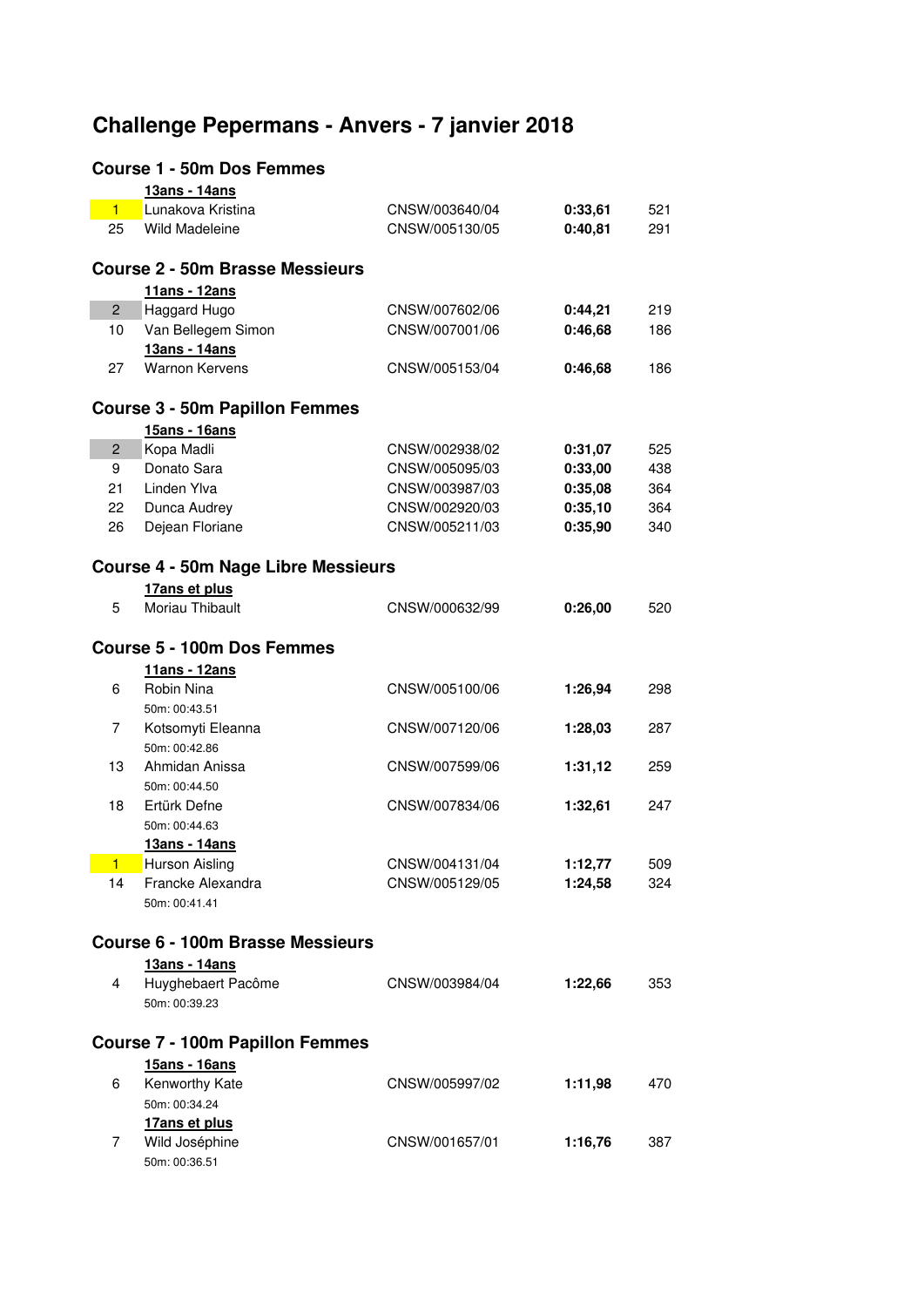## **Challenge Pepermans - Anvers - 7 janvier 2018**

## **Course 1 - 50m Dos Femmes**

|                                        | 13ans - 14ans                              |                |         |     |
|----------------------------------------|--------------------------------------------|----------------|---------|-----|
| $\blacksquare$                         | Lunakova Kristina                          | CNSW/003640/04 | 0:33,61 | 521 |
| 25                                     | <b>Wild Madeleine</b>                      | CNSW/005130/05 | 0:40,81 | 291 |
|                                        |                                            |                |         |     |
|                                        | <b>Course 2 - 50m Brasse Messieurs</b>     |                |         |     |
|                                        | 11ans - 12ans                              |                |         |     |
| $\overline{c}$                         | Haggard Hugo                               | CNSW/007602/06 | 0:44,21 | 219 |
| 10                                     | Van Bellegem Simon                         | CNSW/007001/06 | 0:46,68 | 186 |
|                                        | 13ans - 14ans                              |                |         |     |
|                                        | <b>Warnon Kervens</b>                      |                |         | 186 |
| 27                                     |                                            | CNSW/005153/04 | 0:46,68 |     |
|                                        |                                            |                |         |     |
|                                        | <b>Course 3 - 50m Papillon Femmes</b>      |                |         |     |
|                                        | 15ans - 16ans                              |                |         |     |
| $\overline{2}$                         | Kopa Madli                                 | CNSW/002938/02 | 0:31,07 | 525 |
| 9                                      | Donato Sara                                | CNSW/005095/03 | 0:33,00 | 438 |
| 21                                     | Linden Ylva                                | CNSW/003987/03 | 0:35,08 | 364 |
| 22                                     | Dunca Audrey                               | CNSW/002920/03 | 0:35,10 | 364 |
| 26                                     | Dejean Floriane                            | CNSW/005211/03 | 0:35,90 | 340 |
|                                        |                                            |                |         |     |
|                                        | <b>Course 4 - 50m Nage Libre Messieurs</b> |                |         |     |
|                                        | 17ans et plus                              |                |         |     |
| 5                                      | Moriau Thibault                            | CNSW/000632/99 | 0:26,00 | 520 |
|                                        |                                            |                |         |     |
|                                        | <b>Course 5 - 100m Dos Femmes</b>          |                |         |     |
|                                        | 11ans - 12ans                              |                |         |     |
| 6                                      | Robin Nina                                 | CNSW/005100/06 | 1:26,94 | 298 |
|                                        |                                            |                |         |     |
| 7                                      | 50m: 00:43.51                              |                |         |     |
|                                        | Kotsomyti Eleanna                          | CNSW/007120/06 | 1:28,03 | 287 |
|                                        | 50m: 00:42.86                              |                |         |     |
| 13                                     | Ahmidan Anissa                             | CNSW/007599/06 | 1:31,12 | 259 |
|                                        | 50m: 00:44.50                              |                |         |     |
| 18                                     | Ertürk Defne                               | CNSW/007834/06 | 1:32,61 | 247 |
|                                        | 50m: 00:44.63                              |                |         |     |
|                                        | 13ans - 14ans                              |                |         |     |
| 1                                      | <b>Hurson Aisling</b>                      | CNSW/004131/04 | 1:12,77 | 509 |
| 14                                     | Francke Alexandra                          | CNSW/005129/05 | 1:24,58 | 324 |
|                                        | 50m: 00:41.41                              |                |         |     |
|                                        |                                            |                |         |     |
|                                        | Course 6 - 100m Brasse Messieurs           |                |         |     |
|                                        | 13ans - 14ans                              |                |         |     |
| 4                                      | Huyghebaert Pacôme                         | CNSW/003984/04 | 1:22,66 | 353 |
|                                        | 50m: 00:39.23                              |                |         |     |
|                                        |                                            |                |         |     |
| <b>Course 7 - 100m Papillon Femmes</b> |                                            |                |         |     |
|                                        | 15ans - 16ans                              |                |         |     |
| 6                                      | Kenworthy Kate                             | CNSW/005997/02 | 1:11,98 | 470 |
|                                        |                                            |                |         |     |
|                                        | 50m: 00:34.24                              |                |         |     |
|                                        | 17ans et plus                              |                |         |     |
| 7                                      | Wild Joséphine                             | CNSW/001657/01 | 1:16,76 | 387 |
|                                        | 50m: 00:36.51                              |                |         |     |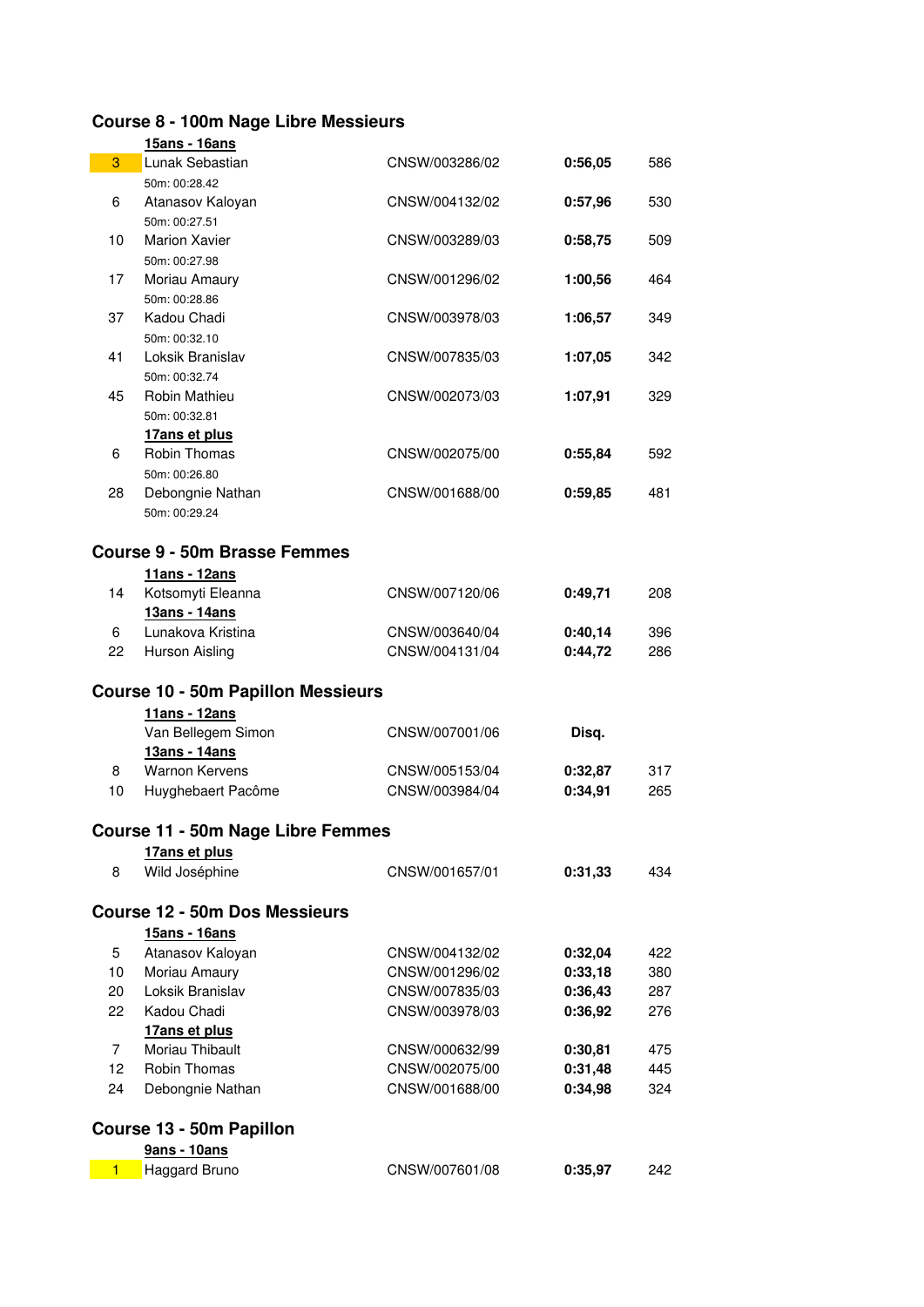## **Course 8 - 100m Nage Libre Messieurs**

|                | 15ans - 16ans                             |                |         |     |  |
|----------------|-------------------------------------------|----------------|---------|-----|--|
| 3              | Lunak Sebastian                           | CNSW/003286/02 | 0:56,05 | 586 |  |
|                | 50m: 00:28.42                             |                |         |     |  |
| 6              | Atanasov Kaloyan                          | CNSW/004132/02 | 0:57,96 | 530 |  |
|                | 50m: 00:27.51                             |                |         |     |  |
| 10             | <b>Marion Xavier</b>                      | CNSW/003289/03 | 0:58,75 | 509 |  |
|                | 50m: 00:27.98                             |                |         |     |  |
| 17             | Moriau Amaury                             | CNSW/001296/02 | 1:00,56 | 464 |  |
|                | 50m: 00:28.86                             |                |         |     |  |
| 37             | Kadou Chadi                               | CNSW/003978/03 | 1:06,57 | 349 |  |
|                | 50m: 00:32.10                             |                |         |     |  |
| 41             | Loksik Branislav                          | CNSW/007835/03 | 1:07,05 | 342 |  |
| 45             | 50m: 00:32.74                             |                |         |     |  |
|                | Robin Mathieu<br>50m: 00:32.81            | CNSW/002073/03 | 1:07,91 | 329 |  |
|                | 17ans et plus                             |                |         |     |  |
| 6              | Robin Thomas                              | CNSW/002075/00 | 0:55,84 | 592 |  |
|                | 50m: 00:26.80                             |                |         |     |  |
| 28             | Debongnie Nathan                          | CNSW/001688/00 | 0:59,85 | 481 |  |
|                | 50m: 00:29.24                             |                |         |     |  |
|                |                                           |                |         |     |  |
|                | <b>Course 9 - 50m Brasse Femmes</b>       |                |         |     |  |
|                | 11ans - 12ans                             |                |         |     |  |
| 14             | Kotsomyti Eleanna                         | CNSW/007120/06 | 0:49,71 | 208 |  |
|                | 13ans - 14ans                             |                |         |     |  |
| 6              | Lunakova Kristina                         | CNSW/003640/04 | 0:40,14 | 396 |  |
| 22             | <b>Hurson Aisling</b>                     | CNSW/004131/04 | 0:44,72 | 286 |  |
|                |                                           |                |         |     |  |
|                | <b>Course 10 - 50m Papillon Messieurs</b> |                |         |     |  |
|                | 11ans - 12ans                             |                |         |     |  |
|                | Van Bellegem Simon                        | CNSW/007001/06 | Disq.   |     |  |
|                | 13ans - 14ans                             |                |         |     |  |
| 8              | <b>Warnon Kervens</b>                     | CNSW/005153/04 | 0:32,87 | 317 |  |
| 10             | Huyghebaert Pacôme                        | CNSW/003984/04 | 0:34,91 | 265 |  |
|                |                                           |                |         |     |  |
|                | <b>Course 11 - 50m Nage Libre Femmes</b>  |                |         |     |  |
|                | 17ans et plus                             |                |         |     |  |
| 8              | Wild Joséphine                            | CNSW/001657/01 | 0:31,33 | 434 |  |
|                |                                           |                |         |     |  |
|                | <b>Course 12 - 50m Dos Messieurs</b>      |                |         |     |  |
|                | 15ans - 16ans                             |                |         |     |  |
| 5              | Atanasov Kaloyan                          | CNSW/004132/02 | 0:32,04 | 422 |  |
| 10             | Moriau Amaury                             | CNSW/001296/02 | 0:33,18 | 380 |  |
| 20             | Loksik Branislav                          | CNSW/007835/03 | 0:36,43 | 287 |  |
| 22             | Kadou Chadi                               | CNSW/003978/03 | 0:36,92 | 276 |  |
| $\overline{7}$ | 17ans et plus<br>Moriau Thibault          | CNSW/000632/99 | 0:30,81 | 475 |  |
| 12             | Robin Thomas                              | CNSW/002075/00 | 0:31,48 | 445 |  |
| 24             | Debongnie Nathan                          | CNSW/001688/00 | 0:34,98 | 324 |  |
|                |                                           |                |         |     |  |
|                | Course 13 - 50m Papillon                  |                |         |     |  |
|                | 9ans - 10ans                              |                |         |     |  |
|                | Haggard Bruno                             | CNSW/007601/08 | 0:35,97 |     |  |
| $\blacksquare$ |                                           |                |         | 242 |  |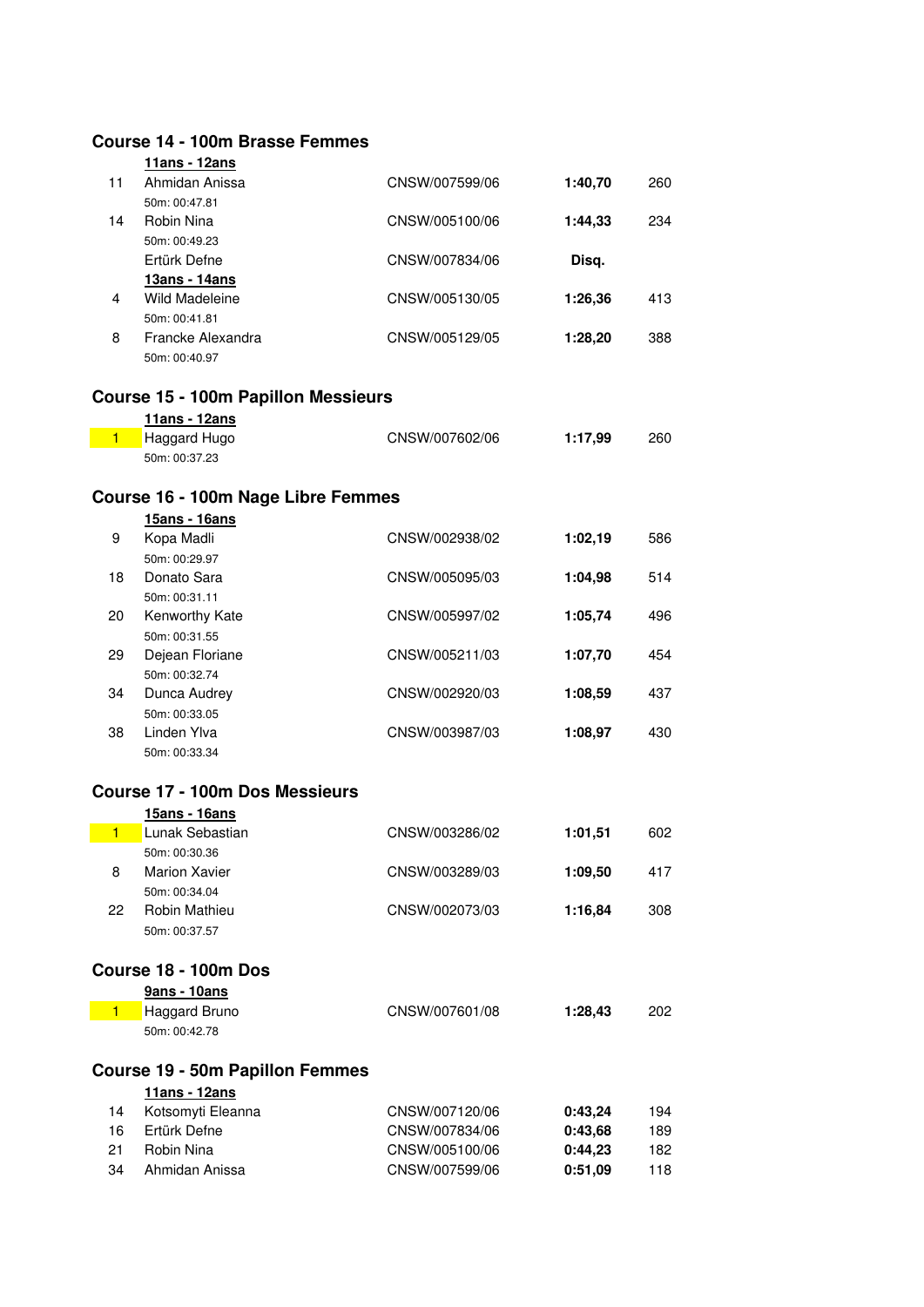|                | <b>Course 14 - 100m Brasse Femmes</b>      |                |         |     |
|----------------|--------------------------------------------|----------------|---------|-----|
|                | 11ans - 12ans                              |                |         |     |
| 11             | Ahmidan Anissa                             | CNSW/007599/06 | 1:40,70 | 260 |
|                | 50m: 00:47.81                              |                |         |     |
| 14             | Robin Nina                                 | CNSW/005100/06 | 1:44,33 | 234 |
|                | 50m: 00:49.23                              |                |         |     |
|                | Ertürk Defne                               | CNSW/007834/06 | Disq.   |     |
|                | 13ans - 14ans                              |                |         |     |
| 4              | <b>Wild Madeleine</b>                      | CNSW/005130/05 | 1:26,36 | 413 |
|                | 50m: 00:41.81                              |                |         |     |
| 8              | Francke Alexandra                          | CNSW/005129/05 | 1:28,20 | 388 |
|                | 50m: 00:40.97                              |                |         |     |
|                |                                            |                |         |     |
|                | <b>Course 15 - 100m Papillon Messieurs</b> |                |         |     |
| $\blacksquare$ | 11ans - 12ans<br>Haggard Hugo              | CNSW/007602/06 | 1:17,99 | 260 |
|                | 50m: 00:37.23                              |                |         |     |
|                |                                            |                |         |     |
|                | Course 16 - 100m Nage Libre Femmes         |                |         |     |
|                | <u>15ans - 16ans</u>                       |                |         |     |
| 9              | Kopa Madli                                 | CNSW/002938/02 | 1:02,19 | 586 |
|                | 50m: 00:29.97                              |                |         |     |
| 18             | Donato Sara                                | CNSW/005095/03 | 1:04,98 | 514 |
|                | 50m: 00:31.11                              |                |         |     |
| 20             | Kenworthy Kate                             | CNSW/005997/02 | 1:05,74 | 496 |
|                | 50m: 00:31.55                              |                |         |     |
| 29             | Dejean Floriane                            | CNSW/005211/03 | 1:07,70 | 454 |
|                | 50m: 00:32.74                              |                |         |     |
| 34             | Dunca Audrey                               | CNSW/002920/03 | 1:08,59 | 437 |
|                | 50m: 00:33.05                              |                |         |     |
| 38             | Linden Ylva                                | CNSW/003987/03 | 1:08,97 | 430 |
|                | 50m: 00:33.34                              |                |         |     |
|                | <b>Course 17 - 100m Dos Messieurs</b>      |                |         |     |
|                |                                            |                |         |     |
| $\blacksquare$ | 15ans - 16ans<br>Lunak Sebastian           | CNSW/003286/02 | 1:01,51 |     |
|                | 50m: 00:30.36                              |                |         | 602 |
| 8              | <b>Marion Xavier</b>                       | CNSW/003289/03 | 1:09,50 | 417 |
|                | 50m: 00:34.04                              |                |         |     |
| 22             | Robin Mathieu                              | CNSW/002073/03 | 1:16,84 | 308 |
|                | 50m: 00:37.57                              |                |         |     |
|                |                                            |                |         |     |
|                | Course 18 - 100m Dos                       |                |         |     |
|                | 9ans - 10ans                               |                |         |     |
| $\blacksquare$ | Haggard Bruno                              | CNSW/007601/08 | 1:28,43 | 202 |
|                | 50m: 00:42.78                              |                |         |     |
|                |                                            |                |         |     |
|                | <b>Course 19 - 50m Papillon Femmes</b>     |                |         |     |
|                | 11ans - 12ans                              |                |         |     |
| 14             | Kotsomyti Eleanna                          | CNSW/007120/06 | 0:43,24 | 194 |
| 16             | Ertürk Defne                               | CNSW/007834/06 | 0:43,68 | 189 |
| 21             | Robin Nina                                 | CNSW/005100/06 | 0:44,23 | 182 |
| 34             | Ahmidan Anissa                             | CNSW/007599/06 | 0:51,09 | 118 |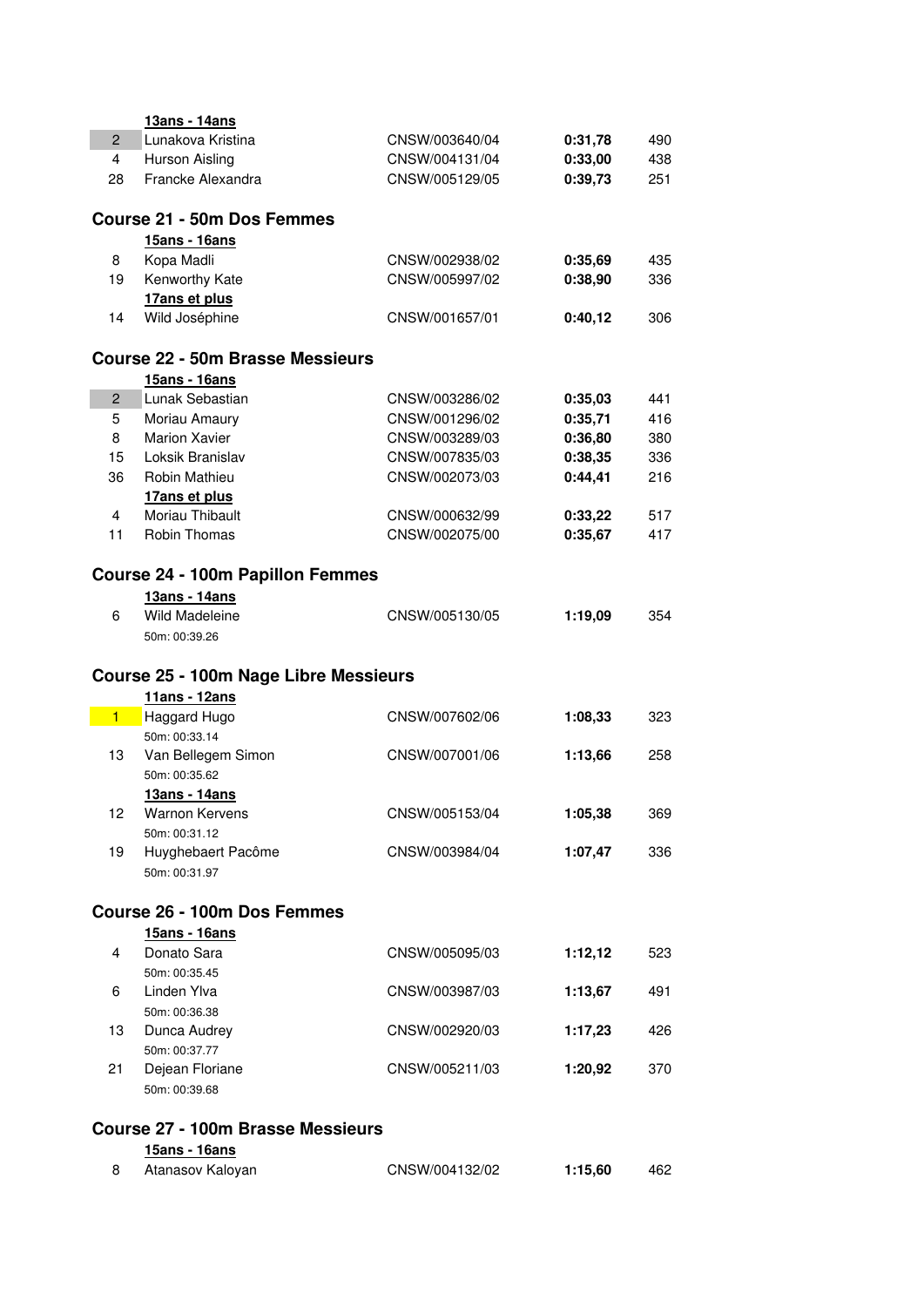|                | 13ans - 14ans                            |                |         |     |
|----------------|------------------------------------------|----------------|---------|-----|
| $\overline{c}$ | Lunakova Kristina                        | CNSW/003640/04 | 0:31,78 | 490 |
| $\overline{4}$ | Hurson Aisling                           | CNSW/004131/04 | 0:33,00 | 438 |
| 28             | Francke Alexandra                        | CNSW/005129/05 | 0:39,73 | 251 |
|                | <b>Course 21 - 50m Dos Femmes</b>        |                |         |     |
|                | 15ans - 16ans                            |                |         |     |
| 8              | Kopa Madli                               | CNSW/002938/02 | 0:35,69 | 435 |
| 19             | Kenworthy Kate                           | CNSW/005997/02 | 0:38,90 | 336 |
|                | 17ans et plus                            |                |         |     |
| 14             | Wild Joséphine                           | CNSW/001657/01 | 0:40,12 | 306 |
|                | <b>Course 22 - 50m Brasse Messieurs</b>  |                |         |     |
|                | 15ans - 16ans                            |                |         |     |
| $\overline{2}$ | Lunak Sebastian                          | CNSW/003286/02 | 0:35,03 | 441 |
| 5              | Moriau Amaury                            | CNSW/001296/02 | 0:35,71 | 416 |
| 8              | <b>Marion Xavier</b>                     | CNSW/003289/03 | 0:36,80 | 380 |
| 15             | Loksik Branislav                         | CNSW/007835/03 | 0:38,35 | 336 |
| 36             | Robin Mathieu                            | CNSW/002073/03 | 0:44,41 | 216 |
|                | 17ans et plus                            |                |         |     |
| 4              | Moriau Thibault                          | CNSW/000632/99 | 0:33,22 | 517 |
| 11             | Robin Thomas                             | CNSW/002075/00 | 0:35,67 | 417 |
|                |                                          |                |         |     |
|                | <b>Course 24 - 100m Papillon Femmes</b>  |                |         |     |
|                | 13ans - 14ans                            |                |         |     |
| 6              | <b>Wild Madeleine</b>                    | CNSW/005130/05 | 1:19,09 | 354 |
|                | 50m: 00:39.26                            |                |         |     |
|                | Course 25 - 100m Nage Libre Messieurs    |                |         |     |
|                | 11ans - 12ans                            |                |         |     |
| $\blacksquare$ | Haggard Hugo                             | CNSW/007602/06 | 1:08,33 | 323 |
|                | 50m: 00:33.14                            |                |         |     |
|                |                                          |                |         |     |
| 13             | Van Bellegem Simon                       | CNSW/007001/06 | 1:13,66 | 258 |
|                | 50m: 00:35.62                            |                |         |     |
|                | 13ans - 14ans                            |                |         |     |
| 12             | Warnon Kervens                           | CNSW/005153/04 | 1:05,38 | 369 |
|                | 50m: 00:31.12                            |                |         |     |
| 19             | Huyghebaert Pacôme                       | CNSW/003984/04 | 1:07,47 | 336 |
|                | 50m: 00:31.97                            |                |         |     |
|                | <b>Course 26 - 100m Dos Femmes</b>       |                |         |     |
|                | 15ans - 16ans                            |                |         |     |
| 4              | Donato Sara                              | CNSW/005095/03 | 1:12,12 | 523 |
|                | 50m: 00:35.45                            |                |         |     |
| 6              | Linden Ylva                              | CNSW/003987/03 | 1:13,67 | 491 |
|                | 50m: 00:36.38                            |                |         |     |
| 13             | Dunca Audrey                             | CNSW/002920/03 | 1:17,23 | 426 |
|                | 50m: 00:37.77                            |                |         |     |
| 21             | Dejean Floriane                          | CNSW/005211/03 | 1:20,92 | 370 |
|                | 50m: 00:39.68                            |                |         |     |
|                |                                          |                |         |     |
|                | <b>Course 27 - 100m Brasse Messieurs</b> |                |         |     |
|                | 15ans - 16ans                            |                |         |     |
| 8              | Atanasov Kaloyan                         | CNSW/004132/02 | 1:15,60 | 462 |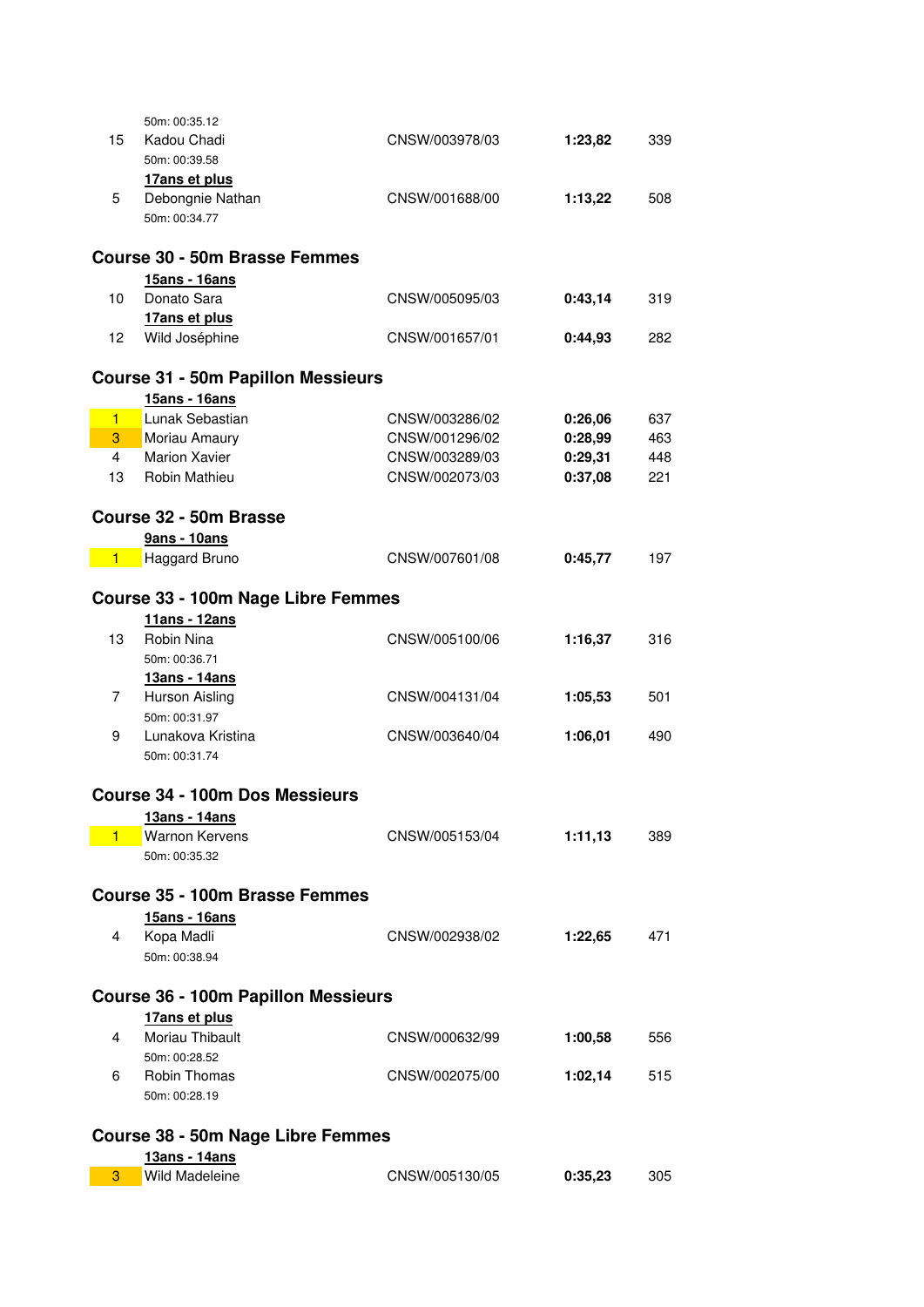|                | 50m: 00:35.12                              |                |         |     |  |
|----------------|--------------------------------------------|----------------|---------|-----|--|
| 15             | Kadou Chadi                                | CNSW/003978/03 | 1:23,82 | 339 |  |
|                | 50m: 00:39.58                              |                |         |     |  |
|                | 17ans et plus                              |                |         |     |  |
| 5.             | Debongnie Nathan                           | CNSW/001688/00 | 1:13,22 | 508 |  |
|                | 50m: 00:34.77                              |                |         |     |  |
|                |                                            |                |         |     |  |
|                | <b>Course 30 - 50m Brasse Femmes</b>       |                |         |     |  |
|                | 15ans - 16ans                              |                |         |     |  |
| 10             | Donato Sara                                | CNSW/005095/03 | 0:43,14 | 319 |  |
|                | 17ans et plus                              |                |         |     |  |
| 12             | Wild Joséphine                             | CNSW/001657/01 | 0:44,93 | 282 |  |
|                |                                            |                |         |     |  |
|                | <b>Course 31 - 50m Papillon Messieurs</b>  |                |         |     |  |
|                | 15ans - 16ans                              |                |         |     |  |
| $\blacksquare$ | Lunak Sebastian                            | CNSW/003286/02 | 0:26,06 | 637 |  |
| 3              | Moriau Amaury                              | CNSW/001296/02 | 0:28,99 | 463 |  |
| $\overline{4}$ | <b>Marion Xavier</b>                       | CNSW/003289/03 | 0:29,31 | 448 |  |
| 13             | <b>Robin Mathieu</b>                       | CNSW/002073/03 | 0:37,08 | 221 |  |
|                |                                            |                |         |     |  |
|                | Course 32 - 50m Brasse                     |                |         |     |  |
|                | <b>9ans - 10ans</b>                        |                |         |     |  |
| $\blacksquare$ | Haggard Bruno                              | CNSW/007601/08 | 0:45,77 | 197 |  |
|                |                                            |                |         |     |  |
|                | Course 33 - 100m Nage Libre Femmes         |                |         |     |  |
|                | 11ans - 12ans                              |                |         |     |  |
| 13             | Robin Nina                                 | CNSW/005100/06 | 1:16,37 | 316 |  |
|                | 50m: 00:36.71                              |                |         |     |  |
|                | 13ans - 14ans                              |                |         |     |  |
| 7              | Hurson Aisling                             | CNSW/004131/04 | 1:05,53 | 501 |  |
|                | 50m: 00:31.97                              |                |         |     |  |
| 9              | Lunakova Kristina                          | CNSW/003640/04 | 1:06,01 | 490 |  |
|                | 50m: 00:31.74                              |                |         |     |  |
|                |                                            |                |         |     |  |
|                | Course 34 - 100m Dos Messieurs             |                |         |     |  |
|                | 13ans - 14ans                              |                |         |     |  |
| 1              | <b>Warnon Kervens</b>                      | CNSW/005153/04 | 1:11,13 | 389 |  |
|                | 50m: 00:35.32                              |                |         |     |  |
|                |                                            |                |         |     |  |
|                | <b>Course 35 - 100m Brasse Femmes</b>      |                |         |     |  |
|                | 15ans - 16ans                              |                |         |     |  |
| 4              | Kopa Madli                                 | CNSW/002938/02 | 1:22,65 | 471 |  |
|                | 50m: 00:38.94                              |                |         |     |  |
|                |                                            |                |         |     |  |
|                | <b>Course 36 - 100m Papillon Messieurs</b> |                |         |     |  |
|                | 17ans et plus                              |                |         |     |  |
| 4              | Moriau Thibault                            | CNSW/000632/99 | 1:00,58 | 556 |  |
|                | 50m: 00:28.52                              |                |         |     |  |
| 6              | <b>Robin Thomas</b>                        | CNSW/002075/00 | 1:02,14 | 515 |  |
|                | 50m: 00:28.19                              |                |         |     |  |
|                |                                            |                |         |     |  |
|                | Course 38 - 50m Nage Libre Femmes          |                |         |     |  |
|                | 13ans - 14ans                              |                |         |     |  |
| 3              | <b>Wild Madeleine</b>                      | CNSW/005130/05 | 0:35,23 | 305 |  |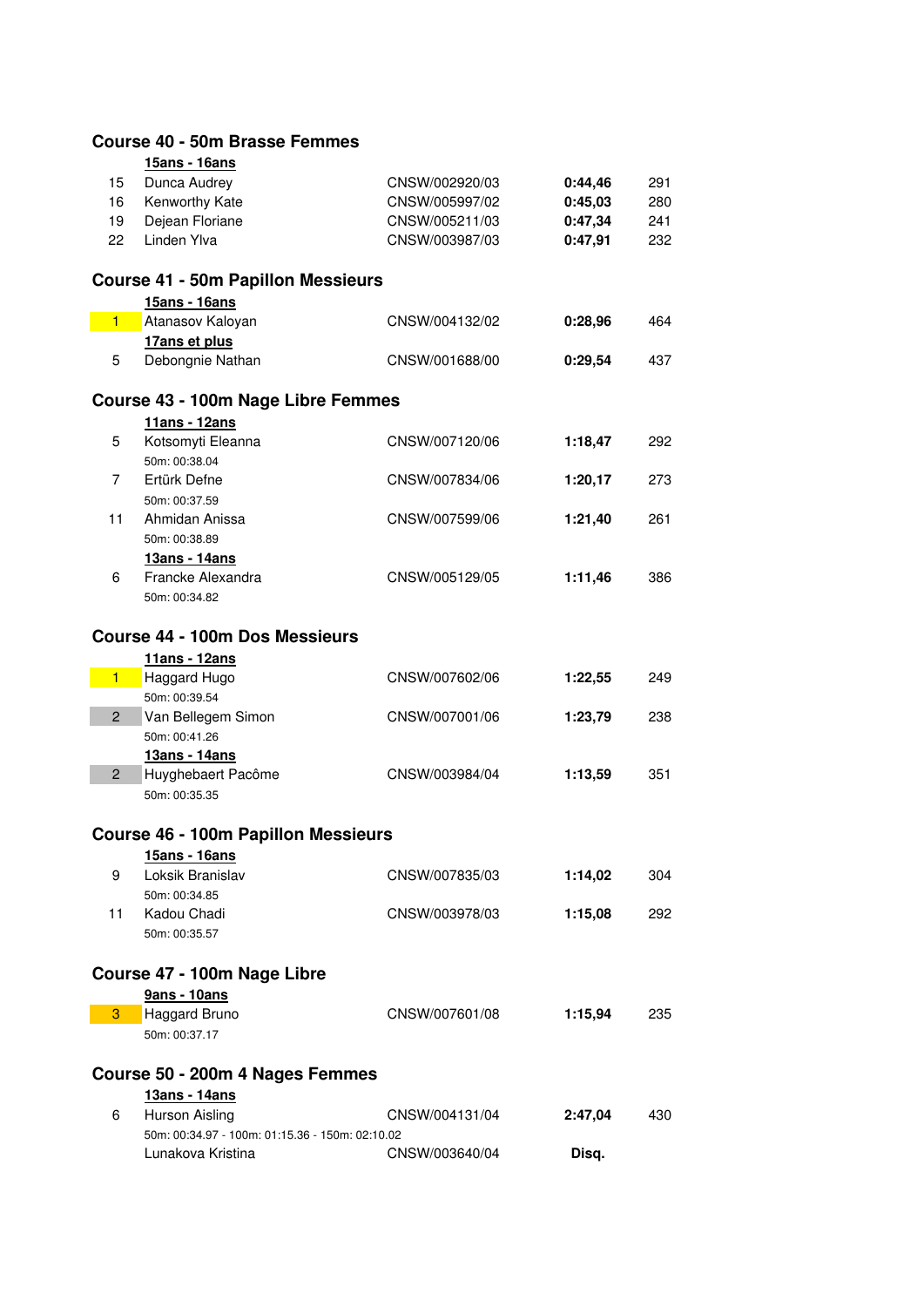|                | <b>Course 40 - 50m Brasse Femmes</b>                        |                |         |     |
|----------------|-------------------------------------------------------------|----------------|---------|-----|
|                | 15ans - 16ans                                               |                |         |     |
| 15             | Dunca Audrey                                                | CNSW/002920/03 | 0:44,46 | 291 |
| 16             | Kenworthy Kate                                              | CNSW/005997/02 | 0:45,03 | 280 |
| 19             | Dejean Floriane                                             | CNSW/005211/03 | 0:47,34 | 241 |
| 22             | Linden Ylva                                                 | CNSW/003987/03 | 0:47,91 | 232 |
|                | <b>Course 41 - 50m Papillon Messieurs</b>                   |                |         |     |
|                | 15ans - 16ans                                               |                |         |     |
| $\blacksquare$ | Atanasov Kaloyan                                            | CNSW/004132/02 | 0:28,96 | 464 |
|                | 17ans et plus                                               |                |         |     |
| 5              | Debongnie Nathan                                            | CNSW/001688/00 | 0:29,54 | 437 |
|                | Course 43 - 100m Nage Libre Femmes                          |                |         |     |
|                | 11ans - 12ans                                               |                |         |     |
| 5              | Kotsomyti Eleanna                                           | CNSW/007120/06 | 1:18,47 | 292 |
|                | 50m: 00:38.04                                               |                |         |     |
| 7              | Ertürk Defne<br>50m: 00:37.59                               | CNSW/007834/06 | 1:20,17 | 273 |
| 11             | Ahmidan Anissa                                              | CNSW/007599/06 | 1:21,40 | 261 |
|                | 50m: 00:38.89                                               |                |         |     |
|                | 13ans - 14ans                                               |                |         |     |
| 6              | Francke Alexandra                                           | CNSW/005129/05 | 1:11,46 | 386 |
|                | 50m: 00:34.82                                               |                |         |     |
|                |                                                             |                |         |     |
|                | <b>Course 44 - 100m Dos Messieurs</b>                       |                |         |     |
|                | 11ans - 12ans                                               |                |         |     |
| $1 -$          | Haggard Hugo                                                | CNSW/007602/06 | 1:22,55 | 249 |
| $\overline{2}$ | 50m: 00:39.54<br>Van Bellegem Simon                         | CNSW/007001/06 |         | 238 |
|                | 50m: 00:41.26                                               |                | 1:23,79 |     |
|                | 13ans - 14ans                                               |                |         |     |
| $\mathbf{2}$   | Huyghebaert Pacôme                                          | CNSW/003984/04 | 1:13,59 | 351 |
|                | 50m: 00:35.35                                               |                |         |     |
|                |                                                             |                |         |     |
|                | <b>Course 46 - 100m Papillon Messieurs</b><br>15ans - 16ans |                |         |     |
| 9              | Loksik Branislav                                            | CNSW/007835/03 | 1:14,02 | 304 |
|                | 50m: 00:34.85                                               |                |         |     |
| 11             | Kadou Chadi                                                 | CNSW/003978/03 | 1:15,08 | 292 |
|                | 50m: 00:35.57                                               |                |         |     |
|                | Course 47 - 100m Nage Libre                                 |                |         |     |
|                | 9ans - 10ans                                                |                |         |     |
| 3              | Haggard Bruno                                               | CNSW/007601/08 | 1:15,94 | 235 |
|                | 50m: 00:37.17                                               |                |         |     |
|                | Course 50 - 200m 4 Nages Femmes                             |                |         |     |
|                | 13ans - 14ans                                               |                |         |     |
| 6              | Hurson Aisling                                              | CNSW/004131/04 | 2:47,04 | 430 |
|                | 50m: 00:34.97 - 100m: 01:15.36 - 150m: 02:10.02             |                |         |     |
|                | Lunakova Kristina                                           | CNSW/003640/04 | Disq.   |     |
|                |                                                             |                |         |     |